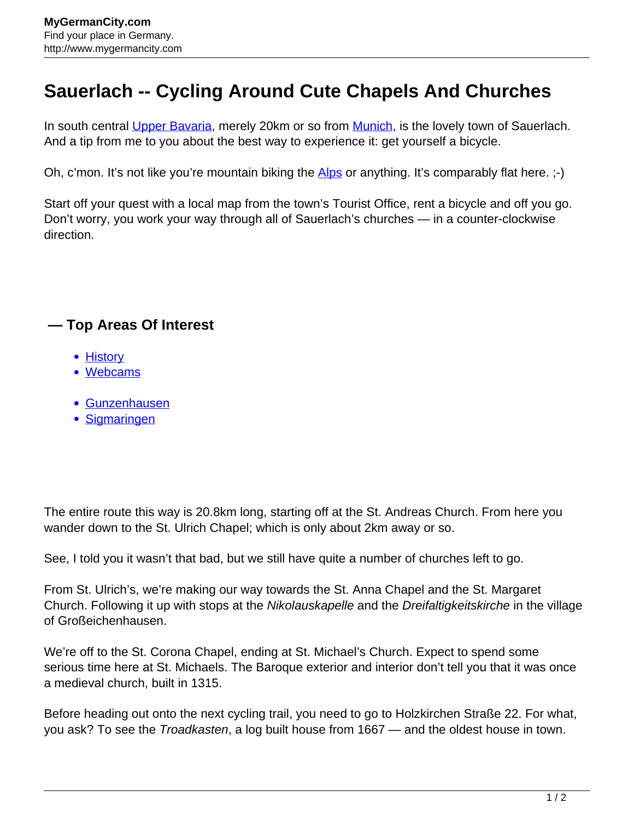## **Sauerlach -- Cycling Around Cute Chapels And Churches**

In south central [Upper Bavaria,](http://www.mygermancity.com/upper-bavaria) merely 20km or so from [Munich](http://www.mygermancity.com/munich), is the lovely town of Sauerlach. And a tip from me to you about the best way to experience it: get yourself a bicycle.

Oh, c'mon. It's not like you're mountain biking the [Alps](http://www.mygermancity.com/german-alps) or anything. It's comparably flat here. ;-)

Start off your quest with a local map from the town's Tourist Office, rent a bicycle and off you go. Don't worry, you work your way through all of Sauerlach's churches — in a counter-clockwise direction.

## **— Top Areas Of Interest**

- **[History](http://www.mygermancity.com/leipzig-history)**
- [Webcams](http://www.mygermancity.com/neustadt-holstein-webcams)
- [Gunzenhausen](http://www.mygermancity.com/gunzenhausen)
- [Sigmaringen](http://www.mygermancity.com/sigmaringen)

The entire route this way is 20.8km long, starting off at the St. Andreas Church. From here you wander down to the St. Ulrich Chapel; which is only about 2km away or so.

See, I told you it wasn't that bad, but we still have quite a number of churches left to go.

From St. Ulrich's, we're making our way towards the St. Anna Chapel and the St. Margaret Church. Following it up with stops at the Nikolauskapelle and the Dreifaltigkeitskirche in the village of Großeichenhausen.

We're off to the St. Corona Chapel, ending at St. Michael's Church. Expect to spend some serious time here at St. Michaels. The Baroque exterior and interior don't tell you that it was once a medieval church, built in 1315.

Before heading out onto the next cycling trail, you need to go to Holzkirchen Straße 22. For what, you ask? To see the *Troadkasten*, a log built house from 1667 — and the oldest house in town.